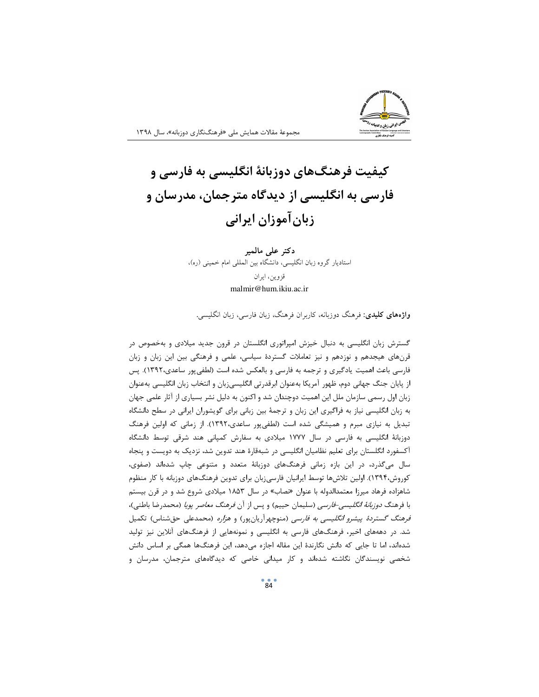

## کیفیت فرهنگهای دوزبانهٔ انگلیسی به فارسی و فارسی به انگلیسی از دیدگاه مترجمان، مدرسان و زبان آموزان ایرانی

دکتر علی مالمیر استادیار گروه زبان انگلیسی، دانشگاه بین المللی امام خمینی (ره)، قزوين، ايران malmir@hum.ikiu.ac.ir

**واژههای کلیدی**: فرهنگ دوزبانه، کاربران فرهنگ، زبان فارسی، زبان انگلیسی.

گسترش زبان انگلیسی به دنبال خیزش امپراتوری انگلستان در قرون جدید میلادی و بهخصوص در قرنهای هیجدهم و نوزدهم و نیز تعاملات گستردهٔ سیاسی، علمی و فرهنگی بین این زبان و زبان فارسی باعث اهمیت یادگیری و ترجمه به فارسی و بالعکس شده است (لطفیپور ساعدی،۱۳۹۲). پس از پایان جنگ جهانی دوم، ظهور آمریکا بهعنوان ابرقدرتی انگلیسیزبان و انتخاب زبان انگلیسی بهعنوان زبان اول رسمی سازمان ملل این اهمیت دوچندان شد و اکنون به دلیل نشر بسیاری از آثار علمی جهان به زبان انگلیسی نیاز به فراگیری این زبان و ترجمهٔ بین زبانی برای گویشوران ایرانی در سطح دانشگاه تبدیل به نیازی مبرم و همیشگی شده است (لطفی پور ساعدی،۱۳۹۲). از زمانی که اولین فرهنگ دوزبانهٔ انگلیسی به فارسی در سال ۱۷۷۷ میلادی به سفارش کمپانی هند شرقی توسط دانشگاه آکسفورد انگلستان برای تعلیم نظامیان انگلیسی در شبهقارهٔ هند تدوین شد، نزدیک به دویست و پنجاه سال میگذرد، در این بازه زمانی فرهنگهای دوزبانهٔ متعدد و متنوعی چاپ شدهاند (صفوی، کوروش،۱۳۹۴). اولین تلاشها توسط ایرانیان فارسیزبان برای تدوین فرهنگهای دوزبانه با کار منظوم شاهزاده فرهاد میرزا معتمدالدوله با عنوان «نصاب» در سال ۱۸۵۳ میلادی شروع شد و در قرن بیستم با فرهنگ *دوزبانهٔ انگلیسی-فارسی* (سلیمان حییم) و پس از آن *فرهنگ معاصر پویا* (محمدرضا باطنی)، فرهنگ گستردهٔ پیشرو انگلیسی به فارسی (منوچهرآریانپور) و هزاره (محمدعلی حقشناس) تکمیل شد. در دهههای اخیر، فرهنگهای فارسی به انگلیسی و نمونههایی از فرهنگهای آنلاین نیز تولید شدهاند، اما تا جایی که دانش نگارندهٔ این مقاله اجازه میدهد، این فرهنگها همگی بر اساس دانش شخصی نویسندگان نگاشته شدهاند و کار میدانی خاصی که دیدگاههای مترجمان، مدرسان و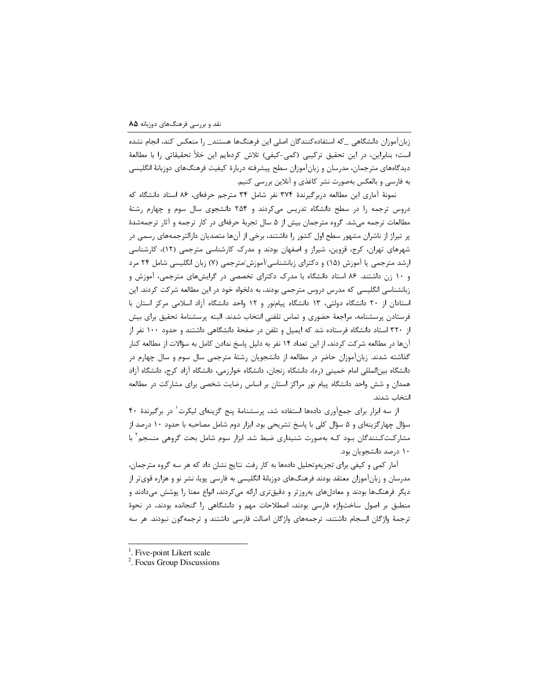زبان آموزان دانشگاهی که استفادهکنندگان اصلی این فرهنگها هستند\_ را منعکس کند، انجام نشده است؛ بنابراین، در این تحقیق ترکیبی (کمی-کیفی) تلاش کردهایم این خلأ تحقیقاتی را با مطالعهٔ دیدگاههای مترجمان، مدرسان و زبانآموزان سطح پیشرفته دربارهٔ کیفیت فرهنگهای دوزبانهٔ انگلیسی به فارسی و بالعکس بهصورت نشر کاغذی و آنلاین بررسی کنیم.

نمونهٔ آماری این مطالعه دربرگیرندهٔ ۳۷۴ نفر شامل ۳۴ مترجم حرفهای، ۸۶ استاد دانشگاه که دروس ترجمه را در سطح دانشگاه تدریس میکردند و ۲۵۴ دانشجوی سال سوم و چهارم رشتهٔ مطالعات ترجمه میشد. گروه مترجمان بیش از ۵ سال تجربهٔ حرفهای در کار ترجمه و آثار ترجمهشدهٔ پر تیراژ از ناشران مشهور سطح اول کشور را داشتند، برخی از آنها متصدیان دارالترجمههای رسمی در شهرهای تهران، کرج، قزوین، شیراز و اصفهان بودند و مدرک کارشناسی مترجمی (۱۲)، کارشناسی ارشد مترجمی یا آموزش (۱۵) و دکترای زبانشناسی/آموزش/مترجمی (۷) زبان انگلیسی شامل ۲۴ مرد و ۱۰ زن داشتند. ۸۶ استاد دانشگاه با مدرک دکترای تخصصی در گرایشهای مترجمی، آموزش و زبانشناسی انگلیسی که مدرس دروس مترجمی بودند، به دلخواه خود در این مطالعه شرکت کردند. این استادان از ۲۰ دانشگاه دولتی، ۱۳ دانشگاه پیامنور و ۱۲ واحد دانشگاه آزاد اسلامی مرکز استان با فرستادن پرسشنامه، مراجعهٔ حضوری و تماس تلفنی انتخاب شدند. البته پرسشنامهٔ تحقیق برای بیش از ۳۲۰ استاد دانشگاه فرستاده شد که ایمیل و تلفن در صفحهٔ دانشگاهی داشتند و حدود ۱۰۰ نفر از آنها در مطالعه شرکت کردند، از این تعداد ۱۴ نفر به دلیل پاسخ ندادن کامل به سؤالات از مطالعه کنار گذاشته شدند. زبانآموزان حاضر در مطالعه از دانشجویان رشتهٔ مترجمی سال سوم و سال چهارم در دانشگاه بینالمللی امام خمینی (ره)، دانشگاه زنجان، دانشگاه خوارزمی، دانشگاه آزاد کرج، دانشگاه آزاد همدان و شش واحد دانشگاه پیام نور مراکز استان بر اساس رضایت شخصی برای مشارکت در مطالعه انتخاب شدند.

از سه ابزار برای جمع آوری دادهها استفاده شد، پرسشنامهٔ پنج گزینهای لیکرت<sup>\</sup> در برگیرندهٔ ۴۰ سؤال چهارگزینهای و ۵ سؤال کلی با پاسخ تشریحی بود. ابزار دوم شامل مصاحبه با حدود ۱۰ درصد از مشارکتکنندگان بـود کـه بهصورت شنیداری ضبط شد. ابزار سوم شامل بحث گروهی منسجم ٔ با ۱۰ درصد دانشجویان بود.

آمار کمی و کیفی برای تجزیهوتحلیل دادهها به کار رفت. نتایج نشان داد که هر سه گروه مترجمان، مدرسان و زبانآموزان معتقد بودند فرهنگهای دوزبانهٔ انگلیسی به فارسی پویا، نشر نو و هزاره قویتر از دیگر فرهنگها بودند و معادلهای بهروزتر و دقیقتری ارائه میکردند، انواع معنا را پوشش میدادند و منطبق بر اصول ساختواژه فارسی بودند، اصطلاحات مهم و دانشگاهی را گنجانده بودند، در نحوهٔ ترجمهٔ واژگان انسجام داشتند، ترجمههای واژگان اصالت فارسی داشتند و ترجمهگون نبودند. هر سه

<sup>&</sup>lt;sup>1</sup>. Five-point Likert scale

<sup>&</sup>lt;sup>2</sup>. Focus Group Discussions